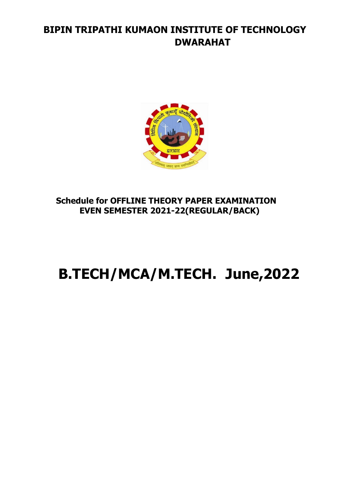# **BIPIN TRIPATHI KUMAON INSTITUTE OF TECHNOLOGY DWARAHAT**



#### **Schedule for OFFLINE THEORY PAPER EXAMINATION EVEN SEMESTER 2021-22(REGULAR/BACK)**

# **B.TECH/MCA/M.TECH. June,2022**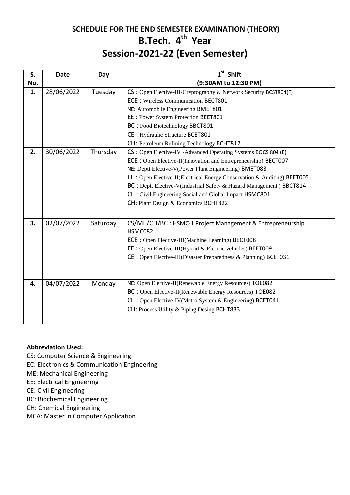#### **SCHEDULE FOR THE END SEMESTER EXAMINATION (THEORY) B.Tech. 4 th Year Session-2021-22 (Even Semester)**

| S.  | <b>Date</b> | Day      | 1 <sup>st</sup> Shift                                                   |
|-----|-------------|----------|-------------------------------------------------------------------------|
| No. |             |          | (9:30AM to 12:30 PM)                                                    |
| 1.  | 28/06/2022  | Tuesday  | CS: Open Elective-III-Cryptography & Network Security BCST804(F)        |
|     |             |          | <b>ECE: Wireless Communication BECT801</b>                              |
|     |             |          | ME: Automobile Engineering BMET801                                      |
|     |             |          | EE: Power System Protection BEET801                                     |
|     |             |          | BC: Food Biotechnology BBCT801                                          |
|     |             |          | CE : Hydraulic Structure BCET801                                        |
|     |             |          | CH: Petroleum Refining Technology BCHT812                               |
| 2.  | 30/06/2022  | Thursday | CS : Open Elective-IV - Advanced Operating Systems BOCS 804 (E)         |
|     |             |          | ECE: Open Elective-II(Innovation and Entrepreneurship) BECT007          |
|     |             |          | ME: Deptt Elective-V(Power Plant Engineering) BMET083                   |
|     |             |          | EE: Open Elective-II(Electrical Energy Conservation & Auditing) BEET005 |
|     |             |          | BC : Deptt Elective-V(Industrial Safety & Hazard Management) BBCT814    |
|     |             |          | CE : Civil Engineering Social and Global Impact HSMC801                 |
|     |             |          | CH: Plant Design & Economics BCHT822                                    |
|     |             |          |                                                                         |
| 3.  | 02/07/2022  | Saturday | CS/ME/CH/BC : HSMC-1 Project Management & Entrepreneurship              |
|     |             |          | HSMC082                                                                 |
|     |             |          | ECE: Open Elective-III(Machine Learning) BECT008                        |
|     |             |          | EE : Open Elective-III(Hybrid & Electric vehicles) BEET009              |
|     |             |          | CE : Open Elective-III(Disaster Preparedness & Planning) BCET031        |
|     |             |          |                                                                         |
|     |             |          |                                                                         |
| 4.  | 04/07/2022  | Monday   | ME: Open Elective-II(Renewable Energy Resources) TOE082                 |
|     |             |          | BC: Open Elective-II(Renewable Energy Resources) TOE082                 |
|     |             |          | CE : Open Elective-IV(Metro System & Engineering) BCET041               |
|     |             |          | CH: Process Utility & Piping Desing BCHT833                             |
|     |             |          |                                                                         |

#### **Abbreviation Used:**

- CS: Computer Science & Engineering
- EC: Electronics & Communication Engineering
- ME: Mechanical Engineering
- EE: Electrical Engineering
- CE: Civil Engineering
- BC: Biochemical Engineering
- CH: Chemical Engineering
- MCA: Master in Computer Application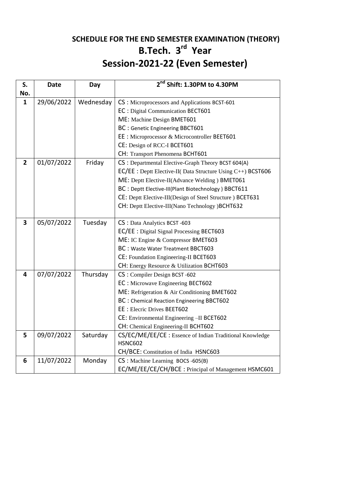# **SCHEDULE FOR THE END SEMESTER EXAMINATION (THEORY) B.Tech. 3 rd Year Session-2021-22 (Even Semester)**

| S.                      | <b>Date</b> | Day       | 2 <sup>nd</sup> Shift: 1.30PM to 4.30PM                      |
|-------------------------|-------------|-----------|--------------------------------------------------------------|
| No.                     |             |           |                                                              |
| 1                       | 29/06/2022  | Wednesday | CS: Microprocessors and Applications BCST-601                |
|                         |             |           | EC: Digital Communication BECT601                            |
|                         |             |           | ME: Machine Design BMET601                                   |
|                         |             |           | BC: Genetic Engineering BBCT601                              |
|                         |             |           | EE : Microprocessor & Microcontroller BEET601                |
|                         |             |           | CE: Design of RCC-I BCET601                                  |
|                         |             |           | CH: Transport Phenomena BCHT601                              |
| $\overline{\mathbf{2}}$ | 01/07/2022  | Friday    | CS : Departmental Elective-Graph Theory BCST 604(A)          |
|                         |             |           | EC/EE : Deptt Elective-II( Data Structure Using C++) BCST606 |
|                         |             |           | ME: Deptt Elective-II(Advance Welding) BMET061               |
|                         |             |           | BC : Deptt Elective-III(Plant Biotechnology) BBCT611         |
|                         |             |           | CE: Deptt Elective-III(Design of Steel Structure) BCET631    |
|                         |             |           | CH: Deptt Elective-III(Nano Technology)BCHT632               |
|                         |             |           |                                                              |
| 3                       | 05/07/2022  | Tuesday   | CS: Data Analytics BCST -603                                 |
|                         |             |           | EC/EE : Digital Signal Processing BECT603                    |
|                         |             |           | ME: IC Engine & Compressor BMET603                           |
|                         |             |           | BC : Waste Water Treatment BBCT603                           |
|                         |             |           | CE: Foundation Engineering-II BCET603                        |
|                         |             |           | CH: Energy Resource & Utilization BCHT603                    |
| 4                       | 07/07/2022  | Thursday  | CS: Compiler Design BCST-602                                 |
|                         |             |           | EC : Microwave Engineering BECT602                           |
|                         |             |           | ME: Refrigeration & Air Conditioning BMET602                 |
|                         |             |           | BC : Chemical Reaction Engineering BBCT602                   |
|                         |             |           | EE: Elecric Drives BEET602                                   |
|                         |             |           | CE: Environmental Engineering -II BCET602                    |
|                         |             |           | CH: Chemical Engineering-II BCHT602                          |
| 5                       | 09/07/2022  | Saturday  | CS/EC/ME/EE/CE : Essence of Indian Traditional Knowledge     |
|                         |             |           | <b>HSNC602</b>                                               |
|                         |             |           | CH/BCE: Constitution of India HSNC603                        |
| 6                       | 11/07/2022  | Monday    | CS : Machine Learning BOCS -605(B)                           |
|                         |             |           | EC/ME/EE/CE/CH/BCE: Principal of Management HSMC601          |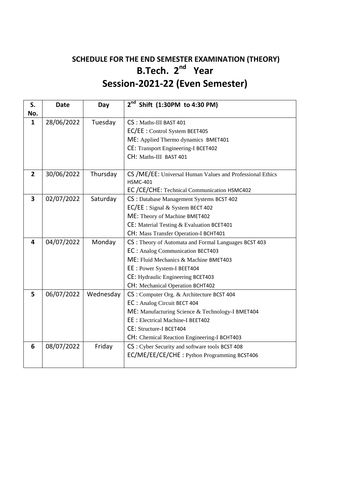### **SCHEDULE FOR THE END SEMESTER EXAMINATION (THEORY) B.Tech. 2<sup>nd</sup> Year Session-2021-22 (Even Semester)**

| S.             | <b>Date</b> | Day       | $2^{nd}$ Shift (1:30PM to 4:30 PM)                        |
|----------------|-------------|-----------|-----------------------------------------------------------|
| No.            |             |           |                                                           |
| $\mathbf{1}$   | 28/06/2022  | Tuesday   | CS: Maths-III BAST 401                                    |
|                |             |           | EC/EE : Control System BEET405                            |
|                |             |           | ME: Applied Thermo dynamics BMET401                       |
|                |             |           | <b>CE: Transport Engineering-I BCET402</b>                |
|                |             |           | CH: Maths-III BAST 401                                    |
| $\overline{2}$ | 30/06/2022  | Thursday  | CS /ME/EE: Universal Human Values and Professional Ethics |
|                |             |           | <b>HSMC-401</b>                                           |
|                |             |           | EC /CE/CHE: Technical Communication HSMC402               |
| 3              | 02/07/2022  | Saturday  | CS : Database Management Systems BCST 402                 |
|                |             |           | EC/EE : Signal & System BECT 402                          |
|                |             |           | ME: Theory of Machine BMET402                             |
|                |             |           | CE: Material Testing & Evaluation BCET401                 |
|                |             |           | CH: Mass Transfer Operation-I BCHT401                     |
| 4              | 04/07/2022  | Monday    | CS: Theory of Automata and Formal Languages BCST 403      |
|                |             |           | EC: Analog Communication BECT403                          |
|                |             |           | ME: Fluid Mechanics & Machine BMET403                     |
|                |             |           | EE: Power System-I BEET404                                |
|                |             |           | CE: Hydraulic Engineering BCET403                         |
|                |             |           | CH: Mechanical Operation BCHT402                          |
| 5              | 06/07/2022  | Wednesday | CS : Computer Org. & Architecture BCST 404                |
|                |             |           | EC: Analog Circuit BECT 404                               |
|                |             |           | ME: Manufacturing Science & Technology-I BMET404          |
|                |             |           | <b>EE</b> : Electrical Machine-I BEET402                  |
|                |             |           | CE: Structure-I BCET404                                   |
|                |             |           | CH: Chemical Reaction Engineering-I BCHT403               |
| 6              | 08/07/2022  | Friday    | CS: Cyber Security and software tools BCST 408            |
|                |             |           | EC/ME/EE/CE/CHE: Python Programming BCST406               |
|                |             |           |                                                           |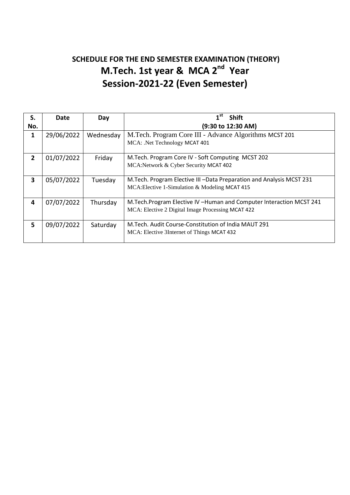# **SCHEDULE FOR THE END SEMESTER EXAMINATION (THEORY) M.Tech. 1st year & MCA 2<sup>nd</sup> Year Session-2021-22 (Even Semester)**

| S.             | Date       | Day       | 1 <sup>st</sup><br><b>Shift</b>                                                                                             |  |
|----------------|------------|-----------|-----------------------------------------------------------------------------------------------------------------------------|--|
| No.            |            |           | (9:30 to 12:30 AM)                                                                                                          |  |
| 1              | 29/06/2022 | Wednesday | M.Tech. Program Core III - Advance Algorithms MCST 201                                                                      |  |
|                |            |           | MCA: .Net Technology MCAT 401                                                                                               |  |
| $\overline{2}$ | 01/07/2022 | Friday    | M.Tech. Program Core IV - Soft Computing MCST 202                                                                           |  |
|                |            |           | MCA:Network & Cyber Security MCAT 402                                                                                       |  |
| 3              | 05/07/2022 | Tuesday   | M. Tech. Program Elective III - Data Preparation and Analysis MCST 231<br>MCA: Elective 1-Simulation & Modeling MCAT 415    |  |
| 4              | 07/07/2022 | Thursday  | M. Tech. Program Elective IV - Human and Computer Interaction MCST 241<br>MCA: Elective 2 Digital Image Processing MCAT 422 |  |
| 5              | 09/07/2022 | Saturday  | M. Tech. Audit Course-Constitution of India MAUT 291<br>MCA: Elective 3Internet of Things MCAT 432                          |  |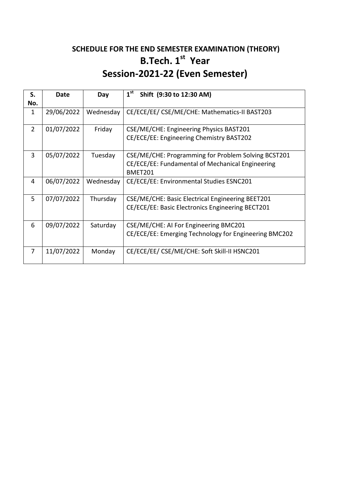# **SCHEDULE FOR THE END SEMESTER EXAMINATION (THEORY) B.Tech. 1st Year Session-2021-22 (Even Semester)**

| S.<br>No.      | Date       | Day       | 1 <sup>st</sup><br>Shift (9:30 to 12:30 AM)                                                                        |
|----------------|------------|-----------|--------------------------------------------------------------------------------------------------------------------|
| 1              | 29/06/2022 | Wednesday | CE/ECE/EE/ CSE/ME/CHE: Mathematics-II BAST203                                                                      |
| $\overline{2}$ | 01/07/2022 | Friday    | CSE/ME/CHE: Engineering Physics BAST201<br>CE/ECE/EE: Engineering Chemistry BAST202                                |
| $\overline{3}$ | 05/07/2022 | Tuesday   | CSE/ME/CHE: Programming for Problem Solving BCST201<br>CE/ECE/EE: Fundamental of Mechanical Engineering<br>BMET201 |
| 4              | 06/07/2022 | Wednesday | CE/ECE/EE: Environmental Studies ESNC201                                                                           |
| 5              | 07/07/2022 | Thursday  | CSE/ME/CHE: Basic Electrical Engineering BEET201<br>CE/ECE/EE: Basic Electronics Engineering BECT201               |
| 6              | 09/07/2022 | Saturday  | CSE/ME/CHE: AI For Engineering BMC201<br>CE/ECE/EE: Emerging Technology for Engineering BMC202                     |
| 7              | 11/07/2022 | Monday    | CE/ECE/EE/ CSE/ME/CHE: Soft Skill-II HSNC201                                                                       |